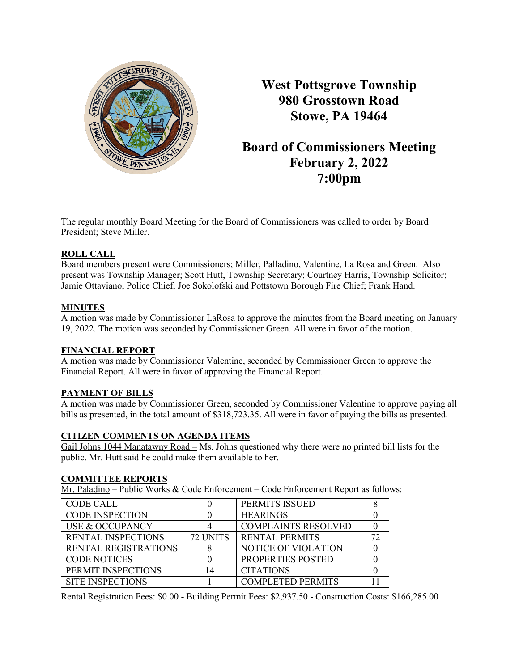

**West Pottsgrove Township 980 Grosstown Road Stowe, PA 19464**

# **Board of Commissioners Meeting February 2, 2022 7:00pm**

The regular monthly Board Meeting for the Board of Commissioners was called to order by Board President; Steve Miller.

# **ROLL CALL**

Board members present were Commissioners; Miller, Palladino, Valentine, La Rosa and Green. Also present was Township Manager; Scott Hutt, Township Secretary; Courtney Harris, Township Solicitor; Jamie Ottaviano, Police Chief; Joe Sokolofski and Pottstown Borough Fire Chief; Frank Hand.

# **MINUTES**

A motion was made by Commissioner LaRosa to approve the minutes from the Board meeting on January 19, 2022. The motion was seconded by Commissioner Green. All were in favor of the motion.

# **FINANCIAL REPORT**

A motion was made by Commissioner Valentine, seconded by Commissioner Green to approve the Financial Report. All were in favor of approving the Financial Report.

# **PAYMENT OF BILLS**

A motion was made by Commissioner Green, seconded by Commissioner Valentine to approve paying all bills as presented, in the total amount of \$318,723.35. All were in favor of paying the bills as presented.

# **CITIZEN COMMENTS ON AGENDA ITEMS**

Gail Johns 1044 Manatawny Road – Ms. Johns questioned why there were no printed bill lists for the public. Mr. Hutt said he could make them available to her.

# **COMMITTEE REPORTS**

Mr. Paladino – Public Works & Code Enforcement – Code Enforcement Report as follows:

| <b>CODE CALL</b>            |          | PERMITS ISSUED             |  |
|-----------------------------|----------|----------------------------|--|
| <b>CODE INSPECTION</b>      |          | <b>HEARINGS</b>            |  |
| USE & OCCUPANCY             |          | <b>COMPLAINTS RESOLVED</b> |  |
| <b>RENTAL INSPECTIONS</b>   | 72 UNITS | <b>RENTAL PERMITS</b>      |  |
| <b>RENTAL REGISTRATIONS</b> |          | <b>NOTICE OF VIOLATION</b> |  |
| <b>CODE NOTICES</b>         |          | PROPERTIES POSTED          |  |
| PERMIT INSPECTIONS          | 4        | <b>CITATIONS</b>           |  |
| <b>SITE INSPECTIONS</b>     |          | <b>COMPLETED PERMITS</b>   |  |

Rental Registration Fees: \$0.00 - Building Permit Fees: \$2,937.50 - Construction Costs: \$166,285.00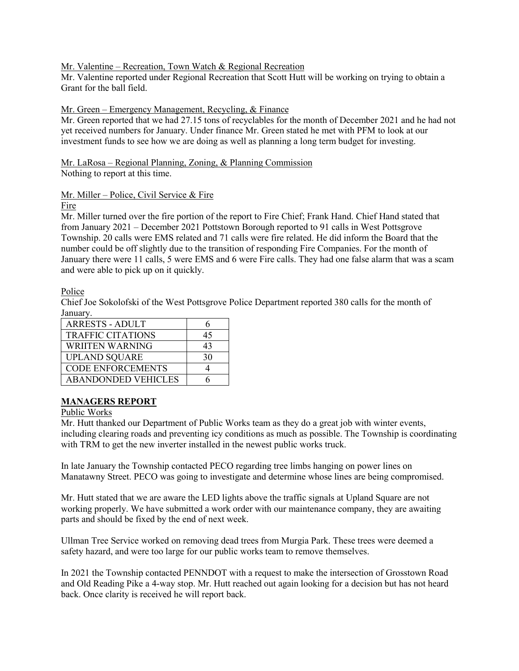# Mr. Valentine – Recreation, Town Watch & Regional Recreation

Mr. Valentine reported under Regional Recreation that Scott Hutt will be working on trying to obtain a Grant for the ball field.

#### Mr. Green – Emergency Management, Recycling, & Finance

Mr. Green reported that we had 27.15 tons of recyclables for the month of December 2021 and he had not yet received numbers for January. Under finance Mr. Green stated he met with PFM to look at our investment funds to see how we are doing as well as planning a long term budget for investing.

#### Mr. LaRosa – Regional Planning, Zoning, & Planning Commission Nothing to report at this time.

# Mr. Miller – Police, Civil Service & Fire

Fire

Mr. Miller turned over the fire portion of the report to Fire Chief; Frank Hand. Chief Hand stated that from January 2021 – December 2021 Pottstown Borough reported to 91 calls in West Pottsgrove Township. 20 calls were EMS related and 71 calls were fire related. He did inform the Board that the number could be off slightly due to the transition of responding Fire Companies. For the month of January there were 11 calls, 5 were EMS and 6 were Fire calls. They had one false alarm that was a scam and were able to pick up on it quickly.

Police

Chief Joe Sokolofski of the West Pottsgrove Police Department reported 380 calls for the month of January.

| <b>ARRESTS - ADULT</b>     |    |
|----------------------------|----|
| <b>TRAFFIC CITATIONS</b>   | 45 |
| WRIITEN WARNING            | 43 |
| <b>UPLAND SQUARE</b>       | 30 |
| <b>CODE ENFORCEMENTS</b>   |    |
| <b>ABANDONDED VEHICLES</b> |    |

# **MANAGERS REPORT**

#### Public Works

Mr. Hutt thanked our Department of Public Works team as they do a great job with winter events, including clearing roads and preventing icy conditions as much as possible. The Township is coordinating with TRM to get the new inverter installed in the newest public works truck.

In late January the Township contacted PECO regarding tree limbs hanging on power lines on Manatawny Street. PECO was going to investigate and determine whose lines are being compromised.

Mr. Hutt stated that we are aware the LED lights above the traffic signals at Upland Square are not working properly. We have submitted a work order with our maintenance company, they are awaiting parts and should be fixed by the end of next week.

Ullman Tree Service worked on removing dead trees from Murgia Park. These trees were deemed a safety hazard, and were too large for our public works team to remove themselves.

In 2021 the Township contacted PENNDOT with a request to make the intersection of Grosstown Road and Old Reading Pike a 4-way stop. Mr. Hutt reached out again looking for a decision but has not heard back. Once clarity is received he will report back.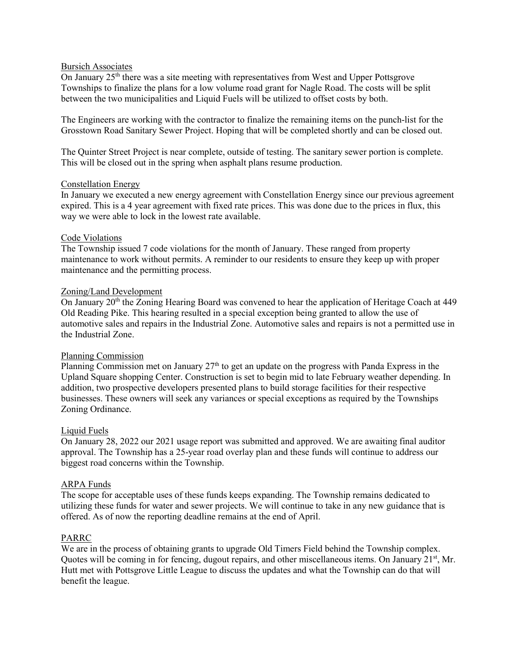#### Bursich Associates

On January  $25<sup>th</sup>$  there was a site meeting with representatives from West and Upper Pottsgrove Townships to finalize the plans for a low volume road grant for Nagle Road. The costs will be split between the two municipalities and Liquid Fuels will be utilized to offset costs by both.

The Engineers are working with the contractor to finalize the remaining items on the punch-list for the Grosstown Road Sanitary Sewer Project. Hoping that will be completed shortly and can be closed out.

The Quinter Street Project is near complete, outside of testing. The sanitary sewer portion is complete. This will be closed out in the spring when asphalt plans resume production.

#### Constellation Energy

In January we executed a new energy agreement with Constellation Energy since our previous agreement expired. This is a 4 year agreement with fixed rate prices. This was done due to the prices in flux, this way we were able to lock in the lowest rate available.

#### Code Violations

The Township issued 7 code violations for the month of January. These ranged from property maintenance to work without permits. A reminder to our residents to ensure they keep up with proper maintenance and the permitting process.

#### Zoning/Land Development

On January  $20<sup>th</sup>$  the Zoning Hearing Board was convened to hear the application of Heritage Coach at 449 Old Reading Pike. This hearing resulted in a special exception being granted to allow the use of automotive sales and repairs in the Industrial Zone. Automotive sales and repairs is not a permitted use in the Industrial Zone.

#### Planning Commission

Planning Commission met on January  $27<sup>th</sup>$  to get an update on the progress with Panda Express in the Upland Square shopping Center. Construction is set to begin mid to late February weather depending. In addition, two prospective developers presented plans to build storage facilities for their respective businesses. These owners will seek any variances or special exceptions as required by the Townships Zoning Ordinance.

# Liquid Fuels

On January 28, 2022 our 2021 usage report was submitted and approved. We are awaiting final auditor approval. The Township has a 25-year road overlay plan and these funds will continue to address our biggest road concerns within the Township.

# ARPA Funds

The scope for acceptable uses of these funds keeps expanding. The Township remains dedicated to utilizing these funds for water and sewer projects. We will continue to take in any new guidance that is offered. As of now the reporting deadline remains at the end of April.

# PARRC

We are in the process of obtaining grants to upgrade Old Timers Field behind the Township complex. Quotes will be coming in for fencing, dugout repairs, and other miscellaneous items. On January 21<sup>st</sup>, Mr. Hutt met with Pottsgrove Little League to discuss the updates and what the Township can do that will benefit the league.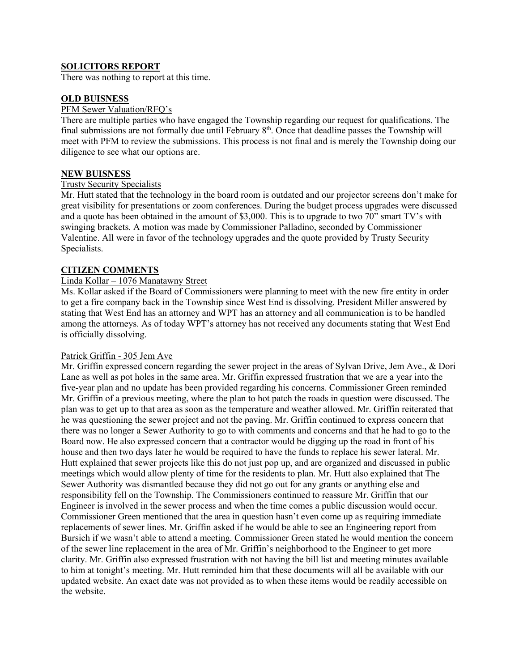# **SOLICITORS REPORT**

There was nothing to report at this time.

# **OLD BUISNESS**

#### PFM Sewer Valuation/RFQ's

There are multiple parties who have engaged the Township regarding our request for qualifications. The final submissions are not formally due until February  $8<sup>th</sup>$ . Once that deadline passes the Township will meet with PFM to review the submissions. This process is not final and is merely the Township doing our diligence to see what our options are.

# **NEW BUISNESS**

# Trusty Security Specialists

Mr. Hutt stated that the technology in the board room is outdated and our projector screens don't make for great visibility for presentations or zoom conferences. During the budget process upgrades were discussed and a quote has been obtained in the amount of \$3,000. This is to upgrade to two  $70$ " smart TV's with swinging brackets. A motion was made by Commissioner Palladino, seconded by Commissioner Valentine. All were in favor of the technology upgrades and the quote provided by Trusty Security Specialists.

# **CITIZEN COMMENTS**

# Linda Kollar – 1076 Manatawny Street

Ms. Kollar asked if the Board of Commissioners were planning to meet with the new fire entity in order to get a fire company back in the Township since West End is dissolving. President Miller answered by stating that West End has an attorney and WPT has an attorney and all communication is to be handled among the attorneys. As of today WPT's attorney has not received any documents stating that West End is officially dissolving.

#### Patrick Griffin - 305 Jem Ave

Mr. Griffin expressed concern regarding the sewer project in the areas of Sylvan Drive, Jem Ave., & Dori Lane as well as pot holes in the same area. Mr. Griffin expressed frustration that we are a year into the five-year plan and no update has been provided regarding his concerns. Commissioner Green reminded Mr. Griffin of a previous meeting, where the plan to hot patch the roads in question were discussed. The plan was to get up to that area as soon as the temperature and weather allowed. Mr. Griffin reiterated that he was questioning the sewer project and not the paving. Mr. Griffin continued to express concern that there was no longer a Sewer Authority to go to with comments and concerns and that he had to go to the Board now. He also expressed concern that a contractor would be digging up the road in front of his house and then two days later he would be required to have the funds to replace his sewer lateral. Mr. Hutt explained that sewer projects like this do not just pop up, and are organized and discussed in public meetings which would allow plenty of time for the residents to plan. Mr. Hutt also explained that The Sewer Authority was dismantled because they did not go out for any grants or anything else and responsibility fell on the Township. The Commissioners continued to reassure Mr. Griffin that our Engineer is involved in the sewer process and when the time comes a public discussion would occur. Commissioner Green mentioned that the area in question hasn't even come up as requiring immediate replacements of sewer lines. Mr. Griffin asked if he would be able to see an Engineering report from Bursich if we wasn't able to attend a meeting. Commissioner Green stated he would mention the concern of the sewer line replacement in the area of Mr. Griffin's neighborhood to the Engineer to get more clarity. Mr. Griffin also expressed frustration with not having the bill list and meeting minutes available to him at tonight's meeting. Mr. Hutt reminded him that these documents will all be available with our updated website. An exact date was not provided as to when these items would be readily accessible on the website.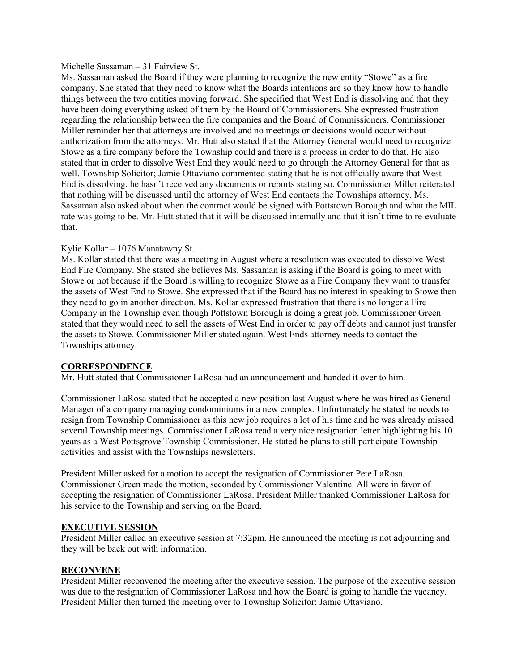#### Michelle Sassaman – 31 Fairview St.

Ms. Sassaman asked the Board if they were planning to recognize the new entity "Stowe" as a fire company. She stated that they need to know what the Boards intentions are so they know how to handle things between the two entities moving forward. She specified that West End is dissolving and that they have been doing everything asked of them by the Board of Commissioners. She expressed frustration regarding the relationship between the fire companies and the Board of Commissioners. Commissioner Miller reminder her that attorneys are involved and no meetings or decisions would occur without authorization from the attorneys. Mr. Hutt also stated that the Attorney General would need to recognize Stowe as a fire company before the Township could and there is a process in order to do that. He also stated that in order to dissolve West End they would need to go through the Attorney General for that as well. Township Solicitor; Jamie Ottaviano commented stating that he is not officially aware that West End is dissolving, he hasn't received any documents or reports stating so. Commissioner Miller reiterated that nothing will be discussed until the attorney of West End contacts the Townships attorney. Ms. Sassaman also asked about when the contract would be signed with Pottstown Borough and what the MIL rate was going to be. Mr. Hutt stated that it will be discussed internally and that it isn't time to re-evaluate that.

# Kylie Kollar – 1076 Manatawny St.

Ms. Kollar stated that there was a meeting in August where a resolution was executed to dissolve West End Fire Company. She stated she believes Ms. Sassaman is asking if the Board is going to meet with Stowe or not because if the Board is willing to recognize Stowe as a Fire Company they want to transfer the assets of West End to Stowe. She expressed that if the Board has no interest in speaking to Stowe then they need to go in another direction. Ms. Kollar expressed frustration that there is no longer a Fire Company in the Township even though Pottstown Borough is doing a great job. Commissioner Green stated that they would need to sell the assets of West End in order to pay off debts and cannot just transfer the assets to Stowe. Commissioner Miller stated again. West Ends attorney needs to contact the Townships attorney.

# **CORRESPONDENCE**

Mr. Hutt stated that Commissioner LaRosa had an announcement and handed it over to him.

Commissioner LaRosa stated that he accepted a new position last August where he was hired as General Manager of a company managing condominiums in a new complex. Unfortunately he stated he needs to resign from Township Commissioner as this new job requires a lot of his time and he was already missed several Township meetings. Commissioner LaRosa read a very nice resignation letter highlighting his 10 years as a West Pottsgrove Township Commissioner. He stated he plans to still participate Township activities and assist with the Townships newsletters.

President Miller asked for a motion to accept the resignation of Commissioner Pete LaRosa. Commissioner Green made the motion, seconded by Commissioner Valentine. All were in favor of accepting the resignation of Commissioner LaRosa. President Miller thanked Commissioner LaRosa for his service to the Township and serving on the Board.

#### **EXECUTIVE SESSION**

President Miller called an executive session at 7:32pm. He announced the meeting is not adjourning and they will be back out with information.

#### **RECONVENE**

President Miller reconvened the meeting after the executive session. The purpose of the executive session was due to the resignation of Commissioner LaRosa and how the Board is going to handle the vacancy. President Miller then turned the meeting over to Township Solicitor; Jamie Ottaviano.